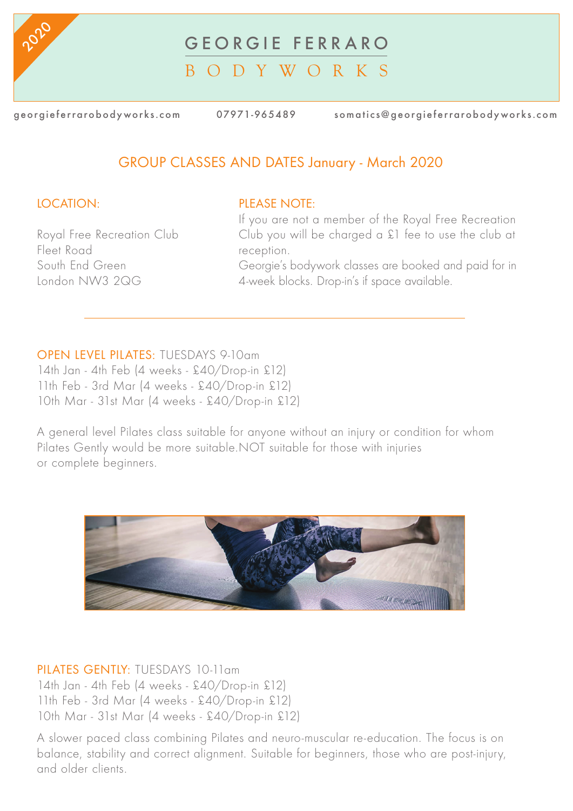

GEORGIE FERRARO BODYWORKS

georgieferrarobodyworks.com 07971-965489 somatics@georgieferrarobodyworks.com

## GROUP CLASSES AND DATES January - March 2020

#### LOCATION:

Royal Free Recreation Club Fleet Road South End Green London NW3 2QG

#### PLEASE NOTE:

If you are not a member of the Royal Free Recreation Club you will be charged a £1 fee to use the club at reception. Georgie's bodywork classes are booked and paid for in 4-week blocks. Drop-in's if space available.

OPEN LEVEL PILATES: TUESDAYS 9-10am 14th Jan - 4th Feb (4 weeks - £40/Drop-in £12) 11th Feb - 3rd Mar (4 weeks - £40/Drop-in £12) 10th Mar - 31st Mar (4 weeks - £40/Drop-in £12)

A general level Pilates class suitable for anyone without an injury or condition for whom Pilates Gently would be more suitable.NOT suitable for those with injuries or complete beginners.



PILATES GENTLY: TUESDAYS 10-11am 14th Jan - 4th Feb (4 weeks - £40/Drop-in £12) 11th Feb - 3rd Mar (4 weeks - £40/Drop-in £12) 10th Mar - 31st Mar (4 weeks - £40/Drop-in £12)

A slower paced class combining Pilates and neuro-muscular re-education. The focus is on balance, stability and correct alignment. Suitable for beginners, those who are post-injury, and older clients.